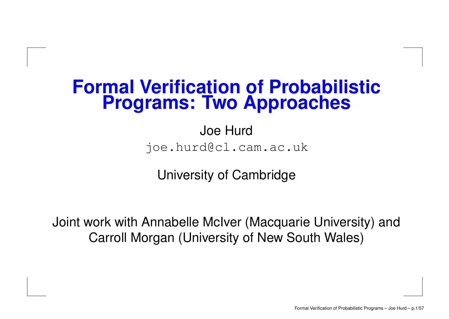### **Formal Verification of Probabilistic Programs: Two Approaches**

Joe Hurd joe.hurd@cl.cam.ac.uk

University of Cambridge

Joint work with Annabelle McIver (Macquarie University) and Carroll Morgan (University of New South Wales)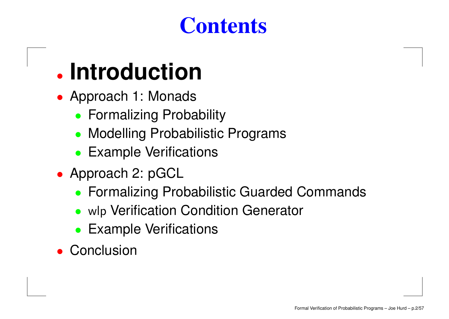### **Contents**

# • **Introduction**

- Approach 1: Monads
	- **Formalizing Probability**
	- Modelling Probabilistic Programs
	- Example Verifications
- Approach 2: pGCL
	- Formalizing Probabilistic Guarded Commands
	- wlp Verification Condition Generator
	- •Example Verifications
- Conclusion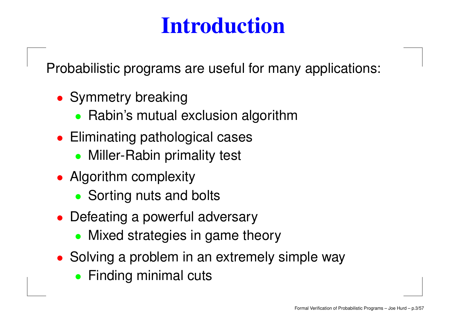Probabilistic programs are useful for many applications:

- Symmetry breaking
	- Rabin's mutual exclusion algorithm
- Eliminating pathological cases
	- Miller-Rabin primality test
- Algorithm complexity
	- Sorting nuts and bolts
- Defeating a powerful adversary
	- Mixed strategies in game theory
- Solving <sup>a</sup> problem in an extremely simple way
	- **Finding minimal cuts**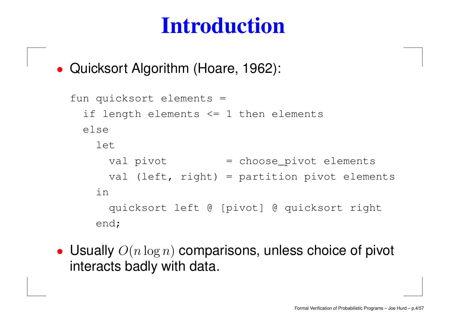• Quicksort Algorithm (Hoare, 1962):

```
fun quicksort elements =
 if length elements <= 1 then elements
elseletval pivot         = choose_pivot elements
     val (left, right) = partition pivot elements
  inquicksort left @ [pivot] @ quicksort right
  end;
```
• Usually  $O(n\log n)$  comparisons, unless choice of pivot interacts badly with data.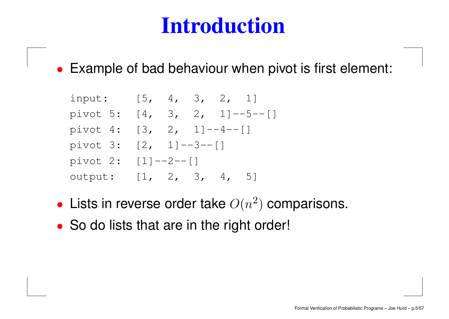• Example of bad behaviour when pivot is first element:

input: [5, 4, 3, 2, 1] pivot 5: [4, 3, 2, 1]--5--[] pivot 4:  $[3, 2, 1]^{--4--}[$ pivot 3: [2, 1]--3--[] pivot 2: [1]--2--[] output: [1, 2, 3, 4, 5]

- Lists in reverse order take  $O(n^2)$  comparisons.
- So do lists that are in the right order!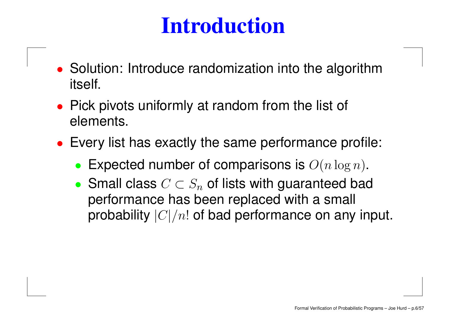- Solution: Introduce randomization into the algorithm itself.
- Pick pivots uniformly at random from the list of elements.
- Every list has exactly the same performance profile:
	- •Expected number of comparisons is  $O(n \log n)$ .
	- Small class  $C \subset S_n$  of lists with guaranteed bad performance has been replaced with <sup>a</sup> small probability  $|C|/n!$  of bad performance on any input.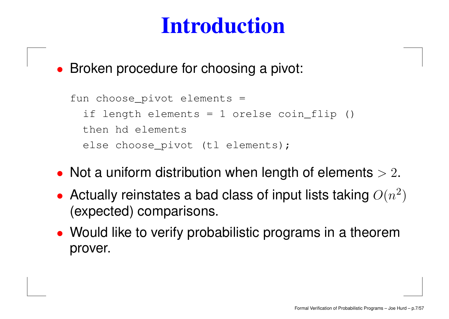• Broken procedure for choosing <sup>a</sup> pivot:

```
fun choose_pivot elements =
 if length elements = 1 orelse coin_flip ()
then hd elements
 else choose_pivot (tl elements);
```
- Not a uniform distribution when length of elements  $> 2$ .
- Actually reinstates a bad class of input lists taking  $O(n^2)$ (expected) comparisons.
- Would like to verify probabilistic programs in <sup>a</sup> theorem prover.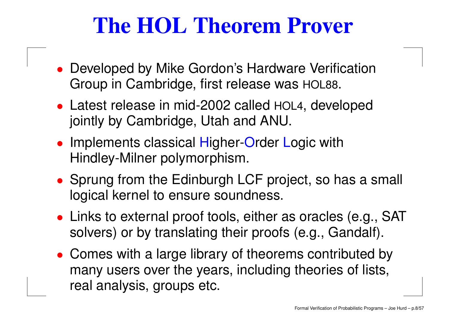### **The HOL Theorem Prover**

- Developed by Mike Gordon's Hardware Verification Group in Cambridge, first release was HOL88.
- Latest release in mid-2002 called HOL4, developed jointly by Cambridge, Utah and ANU.
- Implements classical Higher-Order Logic with Hindley-Milner polymorphism.
- Sprung from the Edinburgh LCF project, so has <sup>a</sup> small logical kernel to ensure soundness.
- Links to external proof tools, either as oracles (e.g., SAT solvers) or by translating their proofs (e.g., Gandalf).
- Comes with <sup>a</sup> large library of theorems contributed by many users over the years, including theories of lists, real analysis, groups etc.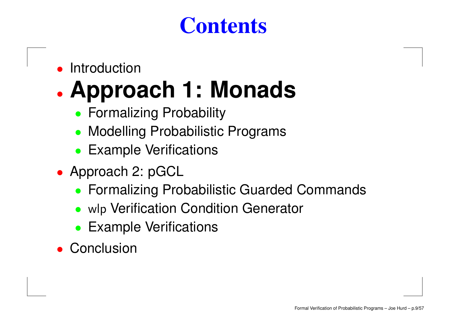### **Contents**

•Introduction

#### $\bullet$ **Approach 1: Monads**

- **Formalizing Probability**
- Modelling Probabilistic Programs
- Example Verifications
- Approach 2: pGCL
	- Formalizing Probabilistic Guarded Commands
	- wlp Verification Condition Generator
	- Example Verifications
- Conclusion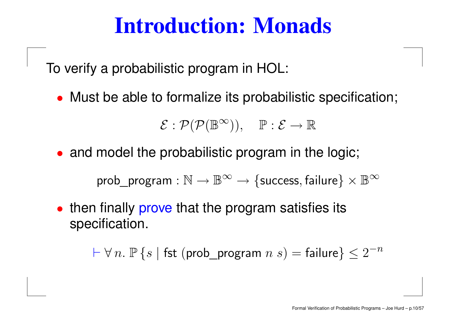### **Introduction: Monads**

To verify <sup>a</sup> probabilistic program in HOL:

• Must be able to formalize its probabilistic specification;

 $\mathcal{E}: \mathcal{P}(\mathcal{P}(\mathbb{B}^{\infty})), \quad \mathbb{P}: \mathcal{E} \rightarrow \mathbb{R}$ 

• and model the probabilistic program in the logic;

prob\_program :  $\mathbb{N} \to \mathbb{B}^{\infty} \to \{\text{success}, \text{failure}\} \times \mathbb{B}^{\infty}$ 

• then finally prove that the program satisfies its specification.

 $\vdash \forall \, n.$   $\mathbb{P} \left\{ s \mid \mathsf{fst} \; (\mathsf{prob\_program} \; n \; s) = \mathsf{failure} \right\} \leq 2^{-n}$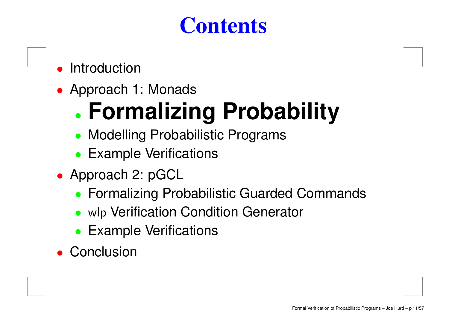### **Contents**

#### •Introduction

• Approach 1: Monads

#### •**Formalizing Probability**

- Modelling Probabilistic Programs
- Example Verifications
- Approach 2: pGCL
	- Formalizing Probabilistic Guarded Commands
	- wlp Verification Condition Generator
	- Example Verifications
- Conclusion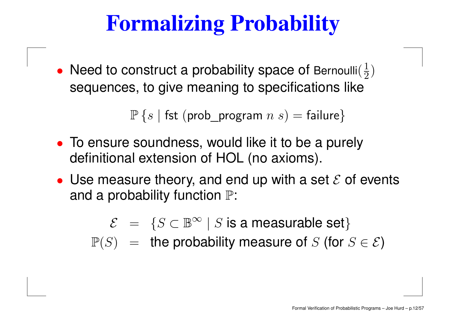# **Formalizing Probability**

 $\bullet$ • Need to construct a probability space of Bernoulli $(\frac{1}{2})$ sequences, to give meaning to specifications like

 $\mathbb{P}\left\{s \mid \mathsf{fst}\;(\mathsf{prob\_program}\;n\;s)=\mathsf{failure}\right\}$ 

- To ensure soundness, would like it to be <sup>a</sup> purely definitional extension of HOL (no axioms).
- Use measure theory, and end up with a set  $\mathcal E$  of events and a probability function  $\mathbb{P}$ :

 $\mathcal{E} = \{S \subset \mathbb{B}^\infty \mid S \text{ is a measurable set}\}$  $\mathbb{P}(S)$  = the probability measure of S (for  $S \in \mathcal{E}$ )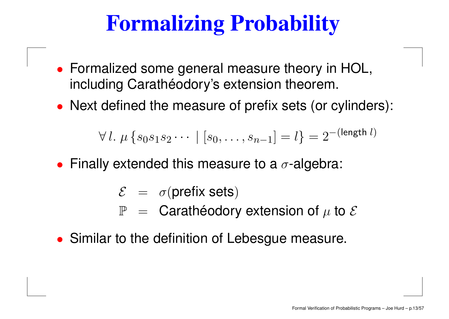# **Formalizing Probability**

- Formalized some general measure theory in HOL, including Carathéodory's extension theorem.
- Next defined the measure of prefix sets (or cylinders):

$$
\forall l. \ \mu \{s_0s_1s_2\cdots \mid [s_0,\ldots,s_{n-1}]=l\}=2^{-(\text{length } l)}
$$

- Finally extended this measure to a  $\sigma$ -algebra:
	- $\mathcal{E} \;\; = \;\; \sigma(\mathsf{prefix} \; \mathsf{sets})$ 
		- $\mathbb{P}$  = Carathéodory extension of  $\mu$  to  $\mathcal E$
- Similar to the definition of Lebesgue measure.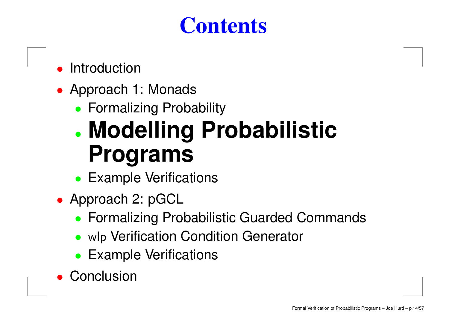### **Contents**

- •Introduction
- Approach 1: Monads
	- Formalizing Probability

### • **Modelling Probabilistic Programs**

- Example Verifications
- Approach 2: pGCL
	- Formalizing Probabilistic Guarded Commands
	- wlp Verification Condition Generator
	- •Example Verifications
- •**Conclusion**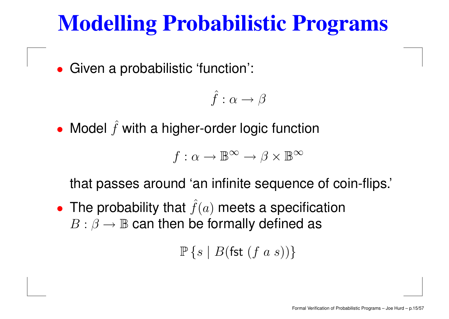### **Modelling Probabilistic Programs**

•Given <sup>a</sup> probabilistic 'function':

$$
\hat{f}:\alpha\to\beta
$$

• Model  $\hat{f}$  $f$  with a higher-order logic function

$$
f: \alpha \to \mathbb{B}^{\infty} \to \beta \times \mathbb{B}^{\infty}
$$

that passes around 'an infinite sequence of coin-flips.'

• The probability that  $\hat{f}$  $f(a)$  meets a specification  $B:\beta\rightarrow\mathbb{B}$  can then be formally defined as

 $\mathbb{P}\left\{s\mid B(\mathsf{fst}\; (f\; a\; s))\right\}$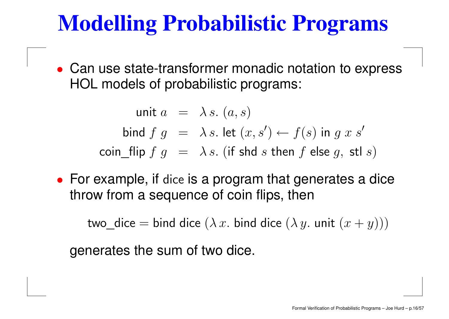### **Modelling Probabilistic Programs**

• Can use state-transformer monadic notation to express HOL models of probabilistic programs:

> unit  $a\;\;=\;\; \lambda\, s.\; (a,s)$ bind  $f \; g \;\; = \;\; \lambda \, s.$  let  $(x,s') \leftarrow f(s)$  in  $g \; x \; s'$  $\mathsf{coin\_flip}~f~g~=~\lambda\,s.~(\text{if shd}~s~\text{then}~f~\text{else}~g,~\text{stl}~s)$

• For example, if dice is <sup>a</sup> program that generates <sup>a</sup> dice throw from <sup>a</sup> sequence of coin flips, then

two\_dice  $=$  bind dice  $(\lambda\,x.$  bind dice  $(\lambda\,y.$  unit  $(x+y)))$ 

generates the sum of two dice.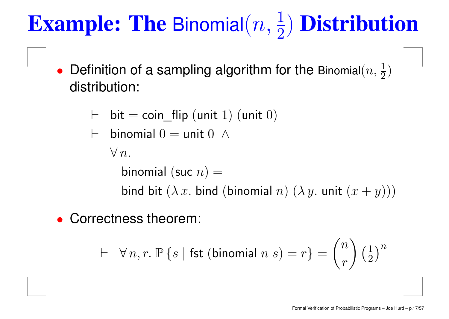# **Example: The Binomial** $(n, \frac{1}{2})$  **Distribution**

- $\bullet$ • Definition of a sampling algorithm for the Binomial $(n, \frac{1}{2})$ distribution:
	- $\vdash\;$  bit  $=$  coin\_flip (unit  $1)$  (unit  $0)$

$$
\vdash \text{ binomial } 0 = \text{unit } 0 \ \wedge
$$

 $\forall\,n.$ 

binomial (suc  $n)=\,$ bind bit  $(\lambda\,x.$  bind (binomial  $n)$   $(\lambda\,y.$  unit  $(x+y)))$ 

•Correctness theorem:

$$
\vdash \forall n, r. \; \mathbb{P}\left\{s \mid \text{fst (binomial } n \; s) = r\right\} = \binom{n}{r} \left(\frac{1}{2}\right)^n
$$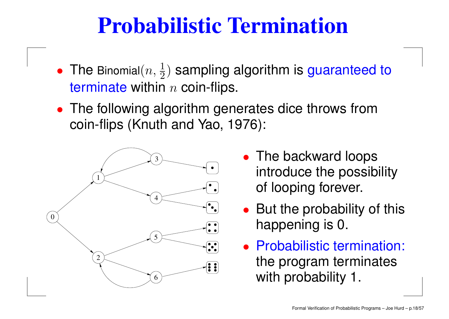### **Probabilistic Termination**

- $\bullet$ • The Binomial $(n, \frac{1}{2})$  sampling algorithm is guaranteed to terminate within  $n$  coin-flips.
- The following algorithm generates dice throws from coin-flips (Knuth and Yao, 1976):



- The backward loops introduce the possibility of looping forever.
- But the probability of this happening is 0.
- Probabilistic termination: the program terminates with probability 1.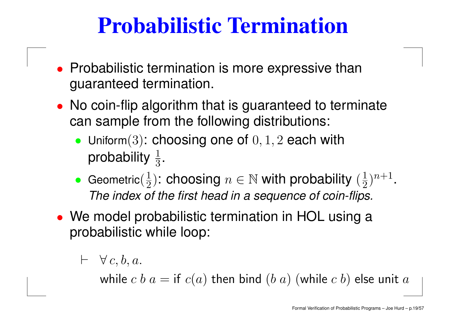### **Probabilistic Termination**

- Probabilistic termination is more expressive than guaranteed termination.
- No coin-flip algorithm that is guaranteed to terminate can sample from the following distributions:
	- Uniform $(3)$ : choosing one of  $0, 1, 2$  each with probability  $\frac{1}{3}.$
	- •• Geometric $(\frac{1}{2})$ : choosing  $n\in \mathbb{N}$  with probability  $(\frac{1}{2})^{n+1}.$ The index of the first head in <sup>a</sup> sequence of coin-flips.
- We model probabilistic termination in HOL using <sup>a</sup> probabilistic while loop:

$$
\vdash \forall c, b, a.
$$

while  $c$   $b$   $a=$  if  $\displaystyle c(a)$  then bind  $\displaystyle (b\ a)$   $\displaystyle ($  while  $c$   $b)$  else unit  $a$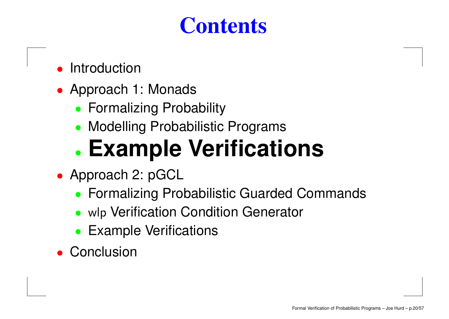### **Contents**

- •Introduction
- Approach 1: Monads
	- Formalizing Probability
	- Modelling Probabilistic Programs

### •**Example Verifications**

- Approach 2: pGCL
	- Formalizing Probabilistic Guarded Commands
	- wlp Verification Condition Generator
	- Example Verifications
- Conclusion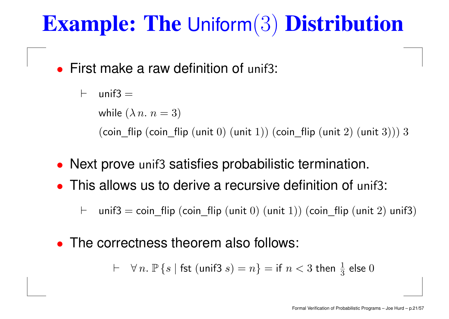### **Example: The** Uniform(3) **Distribution**

• First make a raw definition of unif3:

 $\vdash$ unif $3 =$ while  $(\lambda\, n.\ n=3)$ (coin\_flip (coin\_flip (unit  $0$ ) (unit  $1$ )) (coin\_flip (unit  $2$ ) (unit  $3$ ))) 3

- Next prove unif3 satisfies probabilistic termination.
- This allows us to derive a recursive definition of unif3:

 $\vdash$  $\vdash$   $\;$  unif3  $=$  coin\_flip (coin\_flip (unit  $0)$  (unit  $1))$  (coin\_flip (unit  $2)$  unif3)

 $\bullet$ • The correctness theorem also follows:

 $\ \vdash \quad \forall \, n. \; \mathbb{P} \left\{ s \mid \mathsf{fst} \; (\mathsf{unif3} \; s) = n \right\} = \mathsf{if} \; n < 3 \; \mathsf{then} \; \tfrac{1}{3} \; \mathsf{else} \; 0$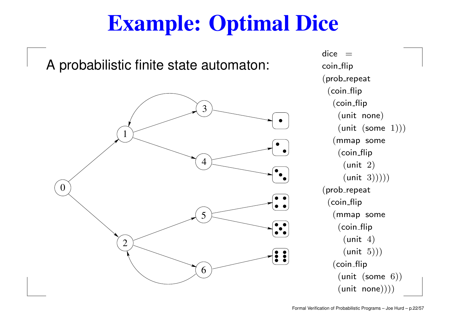### **Example: Optimal Dice**

A probabilistic finite state automaton:



dice  $\,=\,$ coin\_flip  $(prob$ -repeat (coin flip  $(coin-flip)$ (unit none)  $(unit (some 1)))$ (mmap some  $(coin-flip)$  $(unit 2)$  $(\text{unit } 3))))$ (prob\_repeat  $(coin-flip)$ (mmap some (coin\_flip  $(unit 4)$  $(unit 5)))$ (coin\_flip (unit (some 6))  $(unit none))))$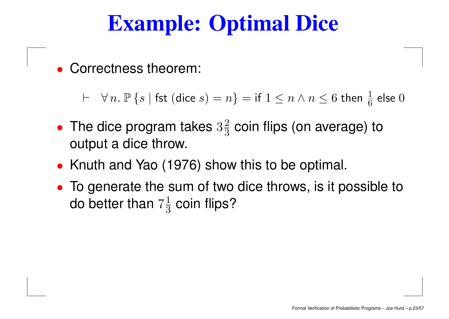### **Example: Optimal Dice**

•Correctness theorem:

 $\;\vdash\; \;\forall\, n.\; \mathbb{P}\left\{s \mid \textsf{fst }(\textsf{dice } s)=n\right\} = \textsf{if } 1 \leq n \wedge n \leq 6 \textsf{ then } \tfrac{1}{6} \textsf{ else } 0$ 

- $\bullet$ • The dice program takes  $3\frac{2}{3}$  coin flips (on average) to output <sup>a</sup> dice throw.
- Knuth and Yao (1976) show this to be optimal.
- To generate the sum of two dice throws, is it possible to do better than  $7\frac{1}{3}$  coin flips?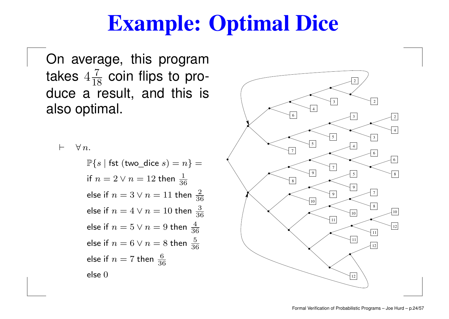### **Example: Optimal Dice**

On average, this program takes  $4\frac{7}{18}$  coin flips to produce <sup>a</sup> result, and this is also optimal.

 $\vdash\quad\forall\, n.$  $\mathbb{P}\{s \mid \textsf{fst (two\_dice } s) = n\} =$ if  $n=2 \vee n=12$  then  $\frac{1}{36}$ else if  $n=3\vee n=11$  then  $\frac{2}{36}$ else if  $n=4\vee n=10$  then  $\frac{3}{36}$ else if  $n=5\vee n=9$  then  $\frac{4}{36}$ else if  $n=6 \vee n=8$  then  $\frac{5}{36}$ else if  $n=7$  then  $\frac{6}{36}$ else 0

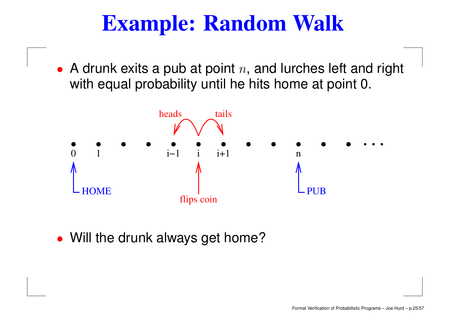### **Example: Random Walk**

• A drunk exits a pub at point  $n$ , and lurches left and right with equal probability until he hits home at point 0.



• Will the drunk always get home?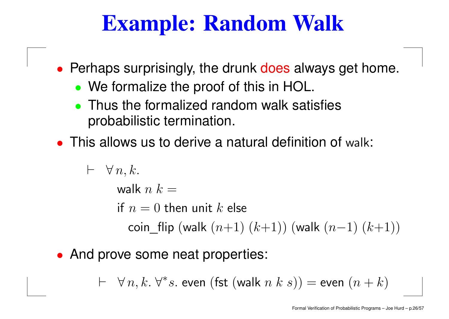### **Example: Random Walk**

- Perhaps surprisingly, the drunk does always get home.
	- We formalize the proof of this in HOL.
	- Thus the formalized random walk satisfies probabilistic termination.
- This allows us to derive a natural definition of walk:

 $\vdash\ \ \forall\, n,k.$ walk  $n$   $k = \,$ if  $n=0$  then unit  $k$  else  $\mathsf{coin\_flip}\ (\mathsf{walk}\ (n{+}1)\ (k{+}1))\ (\mathsf{walk}\ (n{-}1)\ (k{+}1))$ 

• And prove some neat properties:

 $\;\vdash\; \; \forall\, n,k.\; \forall^*s.$  even  $(\mathsf{fst}\;(\mathsf{walk}\; n\; k\; s)) = \mathsf{even}\; (n+k)$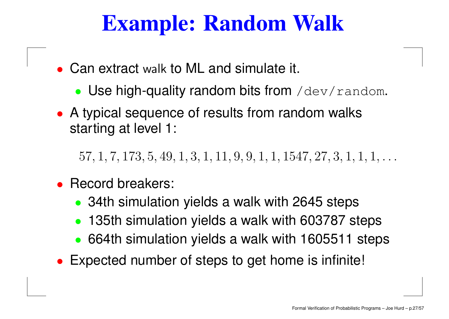### **Example: Random Walk**

- Can extract walk to ML and simulate it.
	- Use high-quality random bits from /dev/random.
- A typical sequence of results from random walks starting at level 1:

 $57, 1, 7, 173, 5, 49, 1, 3, 1, 11, 9, 9, 1, 1, 1547, 27, 3, 1, 1, 1, \ldots$ 

- • Record breakers:
	- 34th simulation yields a walk with 2645 steps
	- $\bullet$ 135th simulation yields <sup>a</sup> walk with 603787 steps
	- 664th simulation yields <sup>a</sup> walk with 1605511 steps
- •Expected number of steps to get home is infinite!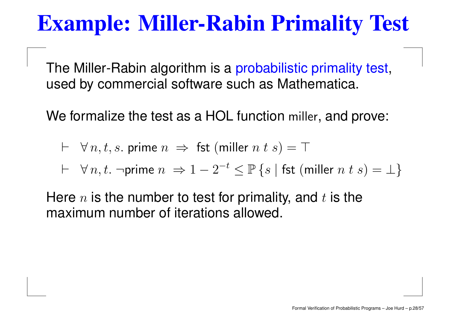### **Example: Miller-Rabin Primality Test**

The Miller-Rabin algorithm is a probabilistic primality test, used by commercial software such as Mathematica.

We formalize the test as a HOL function miller, and prove:

$$
\vdash \forall n, t, s. \text{ prime } n \implies \text{fst } (\text{miller } n \text{ } t \text{ } s) = \top
$$

$$
\vdash \ \ \forall \, n, t. \ \ \neg \textsf{prime} \; n \ \Rightarrow 1 - 2^{-t} \leq \mathbb{P} \left\{ s \mid \textsf{fst} \; (\textsf{miller} \; n \; t \; s) = \bot \right\}
$$

Here  $n$  is the number to test for primality, and  $t$  is the maximum number of iterations allowed.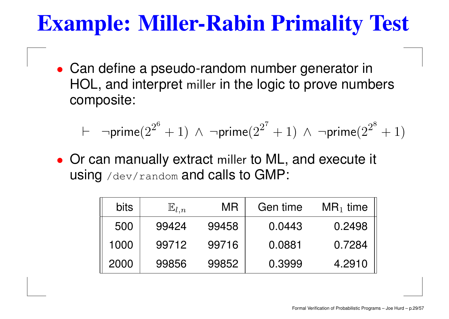### **Example: Miller-Rabin Primality Test**

• Can define <sup>a</sup> pseudo-random number generator in HOL, and interpret miller in the logic to prove numbers composite:

$$
\vdash \neg \mathsf{prime}(2^{2^6}+1) \;\land\; \neg \mathsf{prime}(2^{2^7}+1) \;\land\; \neg \mathsf{prime}(2^{2^8}+1)
$$

• Or can manually extract miller to ML, and execute it using /dev/random and calls to GMP:

| <b>bits</b> | $\mathbb{E}_{l,n}$ | <b>MR</b> | Gen time | $MR_1$ time |
|-------------|--------------------|-----------|----------|-------------|
| 500         | 99424              | 99458     | 0.0443   | 0.2498      |
| 1000        | 99712              | 99716     | 0.0881   | 0.7284      |
| 2000        | 99856              | 99852     | 0.3999   | 4.2910      |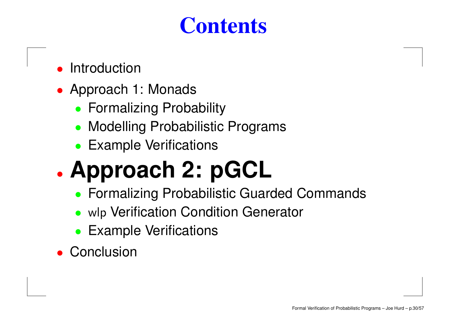### **Contents**

- •Introduction
- Approach 1: Monads
	- Formalizing Probability
	- Modelling Probabilistic Programs
	- Example Verifications

### •**Approach 2: pGCL**

- Formalizing Probabilistic Guarded Commands
- wlp Verification Condition Generator
- Example Verifications
- Conclusion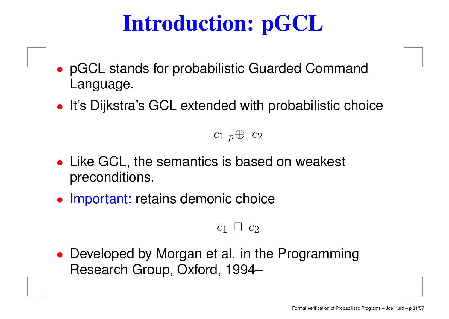# **Introduction: pGCL**

- pGCL stands for probabilistic Guarded Command Language.
- It's Dijkstra's GCL extended with probabilistic choice

### $c_1$   $_p\oplus$   $c_2$

- Like GCL, the semantics is based on weakest preconditions.
- Important: retains demonic choice

#### $c_1$  n  $c_2$

• Developed by Morgan et al. in the Programming Research Group, Oxford, 1994–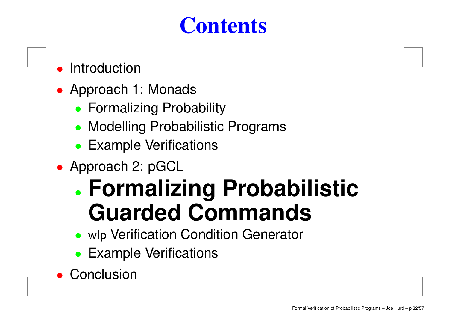### **Contents**

- •Introduction
- Approach 1: Monads
	- Formalizing Probability
	- Modelling Probabilistic Programs
	- Example Verifications
- Approach 2: pGCL

### • **Formalizing Probabilistic Guarded Commands**

- wlp Verification Condition Generator
- Example Verifications
- Conclusion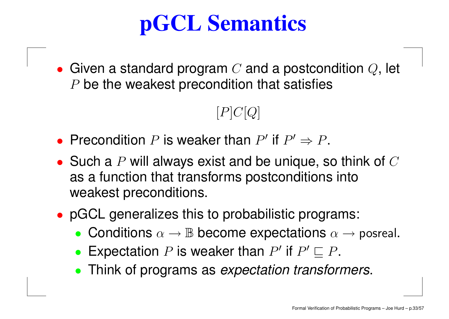# **pGCL Semantics**

 $\bullet\,$  Given a standard program  $C$  and a postcondition  $Q,$  let  $P$  be the weakest precondition that satisfies

### $[P]C[Q]$

- Precondition P is weaker than P' if  $P' \Rightarrow P$ .
- Such a  $P$  will always exist and be unique, so think of  $C$ as <sup>a</sup> function that transforms postconditions into weakest preconditions.
- pGCL generalizes this to probabilistic programs:
	- Conditions  $\alpha \to \mathbb{B}$  become expectations  $\alpha \to$  posreal.
	- Expectation P is weaker than P' if  $P' \sqsubseteq P$ .
	- Think of programs as expectation transformers.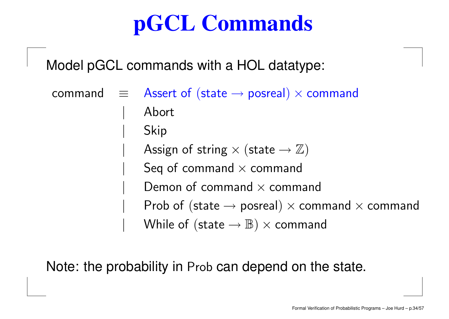# **pGCL Commands**

Model pGCL commands with <sup>a</sup> HOL datatype:

command $\mathtt{d} \quad \equiv \quad$  Assert of (state  $\rightarrow$  posreal)  $\times$  command | Abort | Skip Assign of string  $\times$  (state  $\rightarrow \mathbb{Z}$ ) Seq of command  $\times$  command Demon of command  $\times$  command Prob of (state  $\rightarrow$  posreal)  $\times$  command  $\times$  command While of (state  $\rightarrow \mathbb{B}$ )  $\times$  command

Note: the probability in Prob can depend on the state.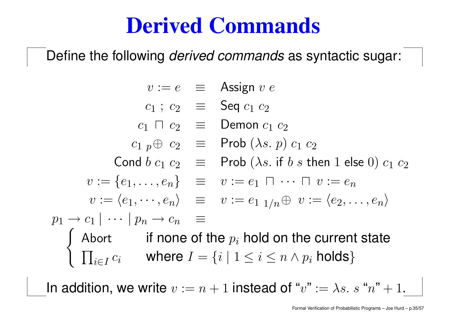### **Derived Commands**

Define the following *derived commands* as syntactic sugar:

 $v := e$   $\equiv$  Assign  $v$   $e$  $c_1$ ;  $c_2$   $\equiv$  Seq  $c_1$   $c_2$  $c_1$   $\sqcap$   $c_2$   $\equiv$   $\,$  Demon  $c_1$   $c_2$  $c_1$   $_p\oplus$   $c_2$   $\quad \equiv \quad$  Prob  $(\lambda s.\ p)\ c_1\ c_2$  $\mathsf{Cond}\;b\;c_1\;c_2\;\;\;\equiv\;\;\;\mathsf{Prob}\;(\lambda s.\; \mathsf{if}\; b\; s\;\mathsf{then}\;1\;\mathsf{else}\;0)\;c_1\;c_2$  $v:=\{e_1,\ldots,e_n\} \quad \equiv \quad v:=e_1\ \sqcap \ \cdots \ \sqcap \ v:=e_n$  $v := \langle e_1, \cdots, e_n \rangle \quad \equiv \quad v := e_{1} \; \mathbb{1}_{/n} \oplus \; v := \langle e_2, \ldots, e_n \rangle$  $p_1 \rightarrow c_1 \mid \cdots \mid p_n \rightarrow c_n \equiv$ ( Abort if none of the  $p_i$  hold on the current state  $\left\{ \begin{array}{ll} \prod_{i\in I} c_i & \text{where } I = \{i \mid 1 \leq i \leq n \wedge p_i \text{ holds} \} \end{array} \right.$ 

In addition, we write  $v := n+1$  instead of " $v" := \lambda s. \ s$  " $n" + 1.$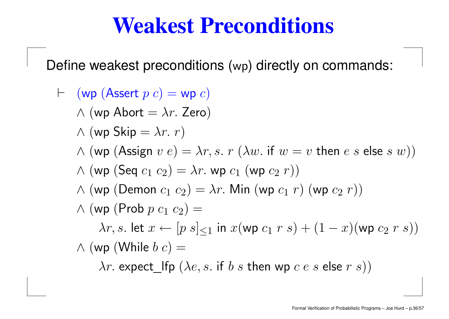### **Weakest Preconditions**

Define weakest preconditions (wp) directly on commands:

 $\vdash\;\;$  (wp  $({\sf Assert}\; p\; c) =$  wp  $c)$  $\wedge$  (wp Abort =  $\lambda r$ . Zero)  $\wedge$  (wp Skip =  $\lambda r.\; r)$  $\wedge$  (wp (Assign  $v$   $e) = \lambda r, s.$   $r$  ( $\lambda w.$  if  $w = v$  then  $e$   $s$  else  $s$   $w))$  $\wedge$  (wp (Seq  $c_1$   $c_2$ ) =  $\lambda r$ . wp  $c_1$  (wp  $c_2$   $r$ ))  $\wedge$  (wp (Demon  $c_1$   $c_2$ ) =  $\lambda r$ . Min (wp  $c_1$   $r$ ) (wp  $c_2$   $r$ ))  $\wedge$  (wp (Prob  $p~c_1~c_2) =$  $\lambda r$ , s. let  $x \leftarrow [p \ s]_{\leq 1}$  in  $x(\text{wp } c_1 \ r \ s) + (1-x)(\text{wp } c_2 \ r \ s))$  $\wedge$  (wp (While  $b$   $c$ )  $=$  $\lambda r$ . expect\_lfp  $(\lambda e, s.$  if  $b \ s$  then wp  $c \ e \ s$  else  $r \ s))$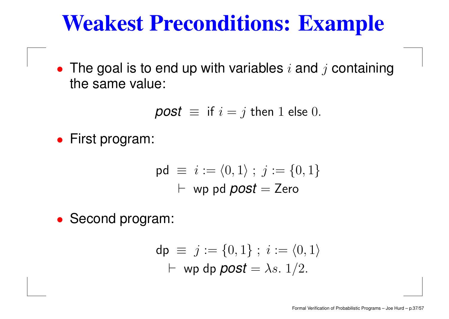### **Weakest Preconditions: Example**

• The goal is to end up with variables  $i$  and  $j$  containing the same value:

$$
post \equiv \text{if } i = j \text{ then } 1 \text{ else } 0.
$$

• First program:

$$
\mathsf{pd} \equiv i := \langle 0, 1 \rangle \; ; \; j := \{0, 1\}
$$
\n
$$
\vdash \mathsf{wp} \; \mathsf{pd} \; \mathsf{post} = \mathsf{Zero}
$$

• Second program:

$$
\mathsf{dp} \equiv j := \{0, 1\} ; i := \langle 0, 1 \rangle
$$
  
 
$$
\vdash \mathsf{wp} \; \mathsf{dpp} \; \mathsf{post} = \lambda s. \; 1/2.
$$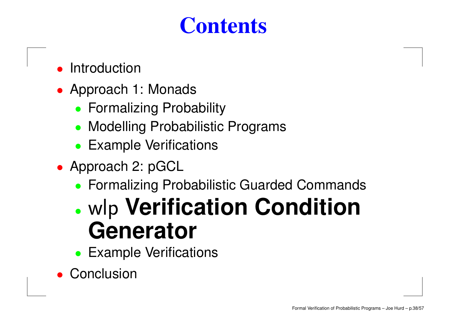### **Contents**

- •Introduction
- Approach 1: Monads
	- Formalizing Probability
	- Modelling Probabilistic Programs
	- Example Verifications
- Approach 2: pGCL
	- Formalizing Probabilistic Guarded Commands

### • wlp **Verification Condition Generator**

- Example Verifications
- Conclusion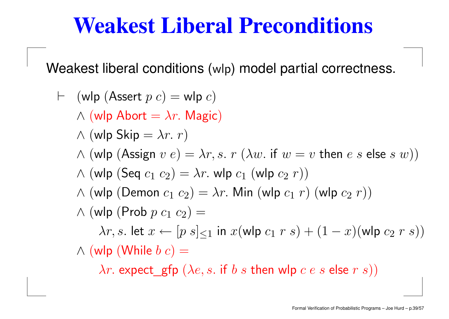### **Weakest Liberal Preconditions**

Weakest liberal conditions (wlp) model partial correctness.

 $\vdash\;$  (wlp (Assert  $p$   $c)$   $=$  wlp  $c)$  $\wedge$  (wlp Abort =  $\lambda r$ . Magic)  $\wedge$  (wlp Skip =  $\lambda r.\; r)$  $\land$  (wlp  $(\mathsf{Assign}\; v\; e) = \lambda r, s.\; r\; (\lambda w.\; \mathsf{if}\; w = v\; \mathsf{then}\; e\; s\; \mathsf{else}\; s\; w))$  $\wedge$  (wlp (Seq  $c_1$   $c_2$ ) =  $\lambda r$ . wlp  $c_1$  (wlp  $c_2$   $r$ ))  $\wedge$  (wlp (Demon  $c_1$   $c_2$ ) =  $\lambda r$ . Min (wlp  $c_1$   $r$ ) (wlp  $c_2$   $r$ ))  $\wedge$  (wlp (Prob  $p~c_1~c_2) =$  $\lambda r, s$ . let  $x \leftarrow [p \ s]_{\leq 1}$  in  $x(\text{wlp } c_1 \ r \ s) + (1-x)(\text{wlp } c_2 \ r \ s))$  $\wedge$  (wlp (While  $b$   $c)$   $=$ 

 $\lambda r$ . expect\_gfp  $(\lambda e, s.$  if  $b~s$  then wlp  $c~e~s$  else  $r~s))$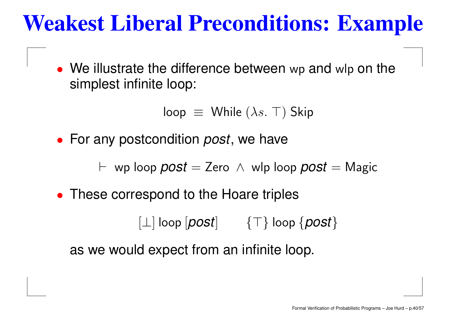### **Weakest Liberal Preconditions: Example**

• We illustrate the difference between wp and wlp on the simplest infinite loop:

```
loop \equiv While (\lambda s. \top) Skip
```
• For any postcondition *post*, we have

 $\vdash \,$  wp loop  ${post} =$  Zero  $\,\wedge\,$  wlp loop  ${post} =$  Magic

• These correspond to the Hoare triples

 $\Box$  loop  $\textcolor{blue}{|pos|}\qquad \{\top\}$  loop  $\{\textcolor{blue}{post}\}$ 

as we would expect from an infinite loop.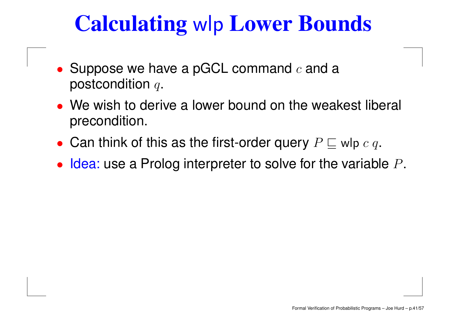### **Calculating** wlp **Lower Bounds**

- Suppose we have a pGCL command  $c$  and a postcondition  $q$ .
- We wish to derive a lower bound on the weakest liberal precondition.
- Can think of this as the first-order query  $P \sqsubseteq$  wlp  $c$   $q$ .
- $\bullet$  Idea: use a Prolog interpreter to solve for the variable  $P$ .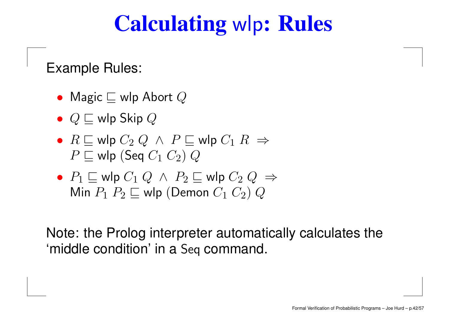### **Calculating** wlp**: Rules**

Example Rules:

- $\bullet~$  Magic  $\sqsubseteq$  wlp Abort  $Q$
- $\bullet \ \ Q \sqsubseteq$  wlp Skip  $Q$
- $\bullet$   $R \sqsubseteq$  wlp  $C_2$   $Q \;\wedge\; P \sqsubseteq$  wlp  $C_1$   $R \; \Rightarrow$  $P \sqsubseteq$  wlp (Seq  $C_1$   $C_2$ )  $Q$
- $\bullet$   $\;P_1 \sqsubseteq$  wlp  $C_1 \;Q \;\wedge\; P_2 \sqsubseteq$  wlp  $C_2 \;Q \;\Rightarrow\;$ Min  $P_1$   $P_2$   $\sqsubseteq$  wlp (Demon  $C_1$   $C_2$ )  $Q$

Note: the Prolog interpreter automatically calculates the 'middle condition' in <sup>a</sup> Seq command.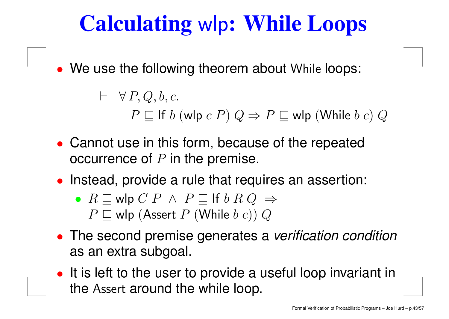# **Calculating** wlp**: While Loops**

• We use the following theorem about While loops:

 $\vdash \forall P, Q, b, c.$  $P \sqsubseteq$  If  $b$  (wlp  $c$   $P)$   $Q \Rightarrow$   $P \sqsubseteq$  wlp (While  $b$   $c)$   $Q$ 

- Cannot use in this form, because of the repeated occurrence of  $P$  in the premise.
- Instead, provide <sup>a</sup> rule that requires an assertion:
	- $\bullet\;R\sqsubseteq$  wlp  $C\;P\;\wedge\;P\sqsubseteq$  If  $b\;R\;Q\;\Rightarrow\;$  $P \sqsubseteq$  wlp (Assert  $P$  (While  $b$   $c$ ))  $Q$
- The second premise generates a verification condition as an extra subgoal.
- It is left to the user to provide a useful loop invariant in the Assert around the while loop.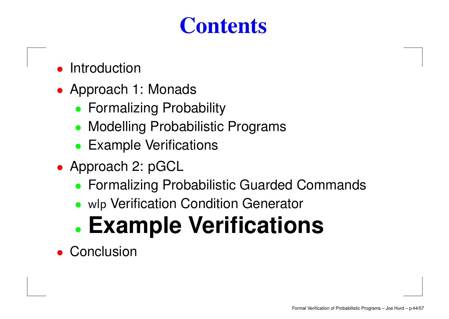### **Contents**

- •Introduction
- Approach 1: Monads
	- Formalizing Probability
	- Modelling Probabilistic Programs
	- Example Verifications
- Approach 2: pGCL
	- Formalizing Probabilistic Guarded Commands
	- wlp Verification Condition Generator

#### •**Example Verifications**

• Conclusion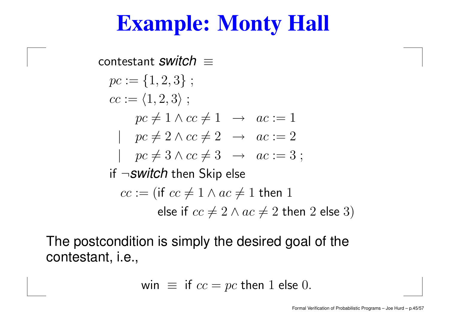### **Example: Monty Hall**

contestant  $\textit{switch} \, \equiv$  $pc := \{1, 2, 3\}$ ;  $cc := \langle 1, 2, 3\rangle$  ;  $pc \neq 1 \wedge cc \neq 1 \rightarrow ac := 1$  $pc \neq 2 \wedge cc \neq 2 \rightarrow ac := 2$  $pc \neq 3 \wedge cc \neq 3 \rightarrow ac := 3 ;$ if ¬*switch* then Skip else  $cc := (\mathsf{if}\; cc \neq 1 \land ac \neq 1$  then  $1$ else if  $cc\neq 2 \wedge ac \neq 2$  then  $2$  else  $3)$ 

The postcondition is simply the desired goal of the contestant, i.e.,

win 
$$
\equiv
$$
 if  $cc = pc$  then 1 else 0.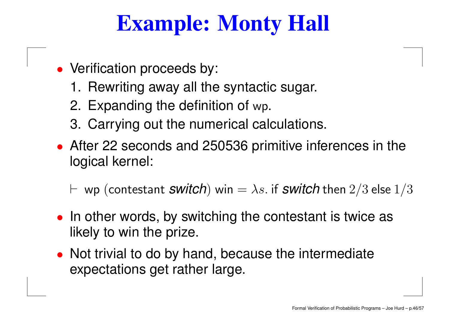### **Example: Monty Hall**

- Verification proceeds by:
	- 1. Rewriting away all the syntactic sugar.
	- 2. Expanding the definition of wp.
	- 3. Carrying out the numerical calculations.
- After 22 seconds and 250536 primitive inferences in the logical kernel:
	- $\vdash \,$  wp (contestant  $\,$ swit $\,$ c $\,$ h $\,)$  win  $= \lambda s.$  if  $\,$ swit $\,$ c $\,$ h $\,$ then  $2/3$  else  $1/3$
- In other words, by switching the contestant is twice as likely to win the prize.
- Not trivial to do by hand, because the intermediate expectations get rather large.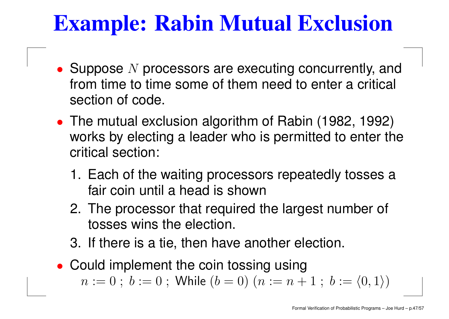- Suppose  $N$  processors are executing concurrently, and from time to time some of them need to enter a critical section of code.
- The mutual exclusion algorithm of Rabin (1982, 1992) works by electing <sup>a</sup> leader who is permitted to enter the critical section:
	- 1. Each of the waiting processors repeatedly tosses <sup>a</sup> fair coin until a head is shown
	- 2. The processor that required the largest number of tosses wins the election.
	- 3. If there is <sup>a</sup> tie, then have another election.
- Could implement the coin tossing using  $n := 0 \; ; \; b := 0 \; ; \; \mathsf{While} \; (b = 0) \; (n := n+1 \; ; \; b := \langle 0, 1 \rangle)$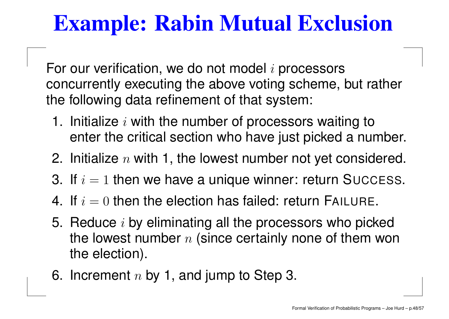For our verification, we do not model  $i$  processors concurrently executing the above voting scheme, but rather the following data refinement of that system:

- 1. Initialize  $i$  with the number of processors waiting to enter the critical section who have just picked <sup>a</sup> number.
- 2. Initialize  $n$  with 1, the lowest number not yet considered.
- 3. If  $i = 1$  then we have a unique winner: return Success.
- 4. If  $i=0$  then the election has failed: return FAILURE.
- 5. Reduce  $i$  by eliminating all the processors who picked the lowest number  $n$  (since certainly none of them won the election).
- 6. Increment  $n$  by 1, and jump to Step 3.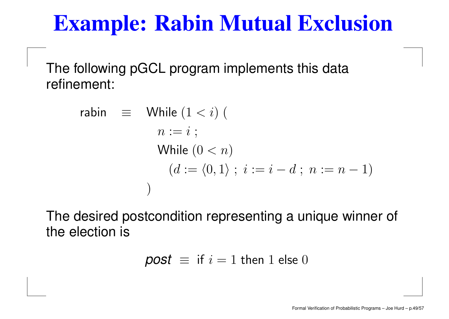The following pGCL program implements this data refinement:

> rabin  $\equiv$  While  $(1 < i)$  (  $n := i \; ;$ While  $(0 < n)$  $(d := \langle 0, 1 \rangle ; i := i - d ; n := n - 1)$ )

The desired postcondition representing <sup>a</sup> unique winner of the election is

$$
post \equiv \text{ if } i = 1 \text{ then } 1 \text{ else } 0
$$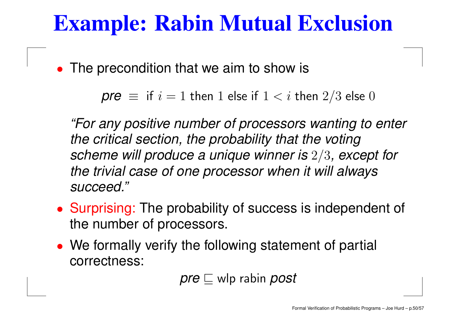•The precondition that we aim to show is

```
\mathsf{pre} \equiv \mathsf{if} \, i = 1 then 1 else if 1 < i then 2/3 else 0
```
"For any positive number of processors wanting to enter the critical section, the probability that the voting scheme will produce <sup>a</sup> unique winner is <sup>2</sup>/<sup>3</sup>, except for the trivial case of one processor when it will always succeed."

- Surprising: The probability of success is independent of the number of processors.
- We formally verify the following statement of partial correctness:

 $\mathsf{pre} \sqsubseteq \mathsf{wlp}$  rabin  $\mathsf{post}$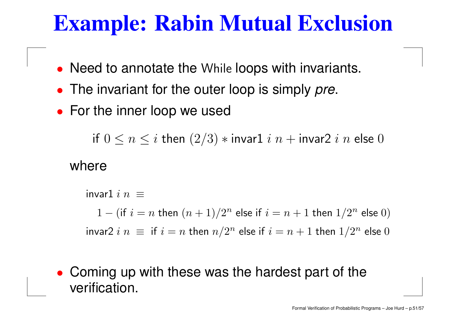- Need to annotate the While loops with invariants.
- The invariant for the outer loop is simply pre.
- For the inner loop we used

if  $0\leq n\leq i$  then  $(2/3)*$  invar $1$   $i$   $n+$  invar $2$   $i$   $n$  else  $0$ 

where

invar $1$   $i$   $n$   $\equiv$  $1 -$  (if  $i = n$  then  $(n + 1)/2^n$  else if  $i = n + 1$  then  $1/2^n$  else  $0)$ invar2  $i$   $n~\equiv~$  if  $i = n$  then  $n/2^n$  else if  $i = n+1$  then  $1/2^n$  else  $0$ 

• Coming up with these was the hardest part of the verification.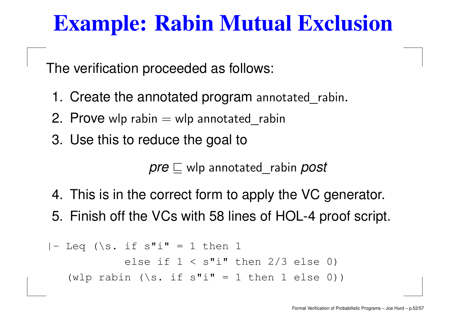The verification proceeded as follows:

- 1. Create the annotated program annotated\_rabin.
- 2. Prove wlp rabin  $=$  wlp annotated\_rabin
- 3. Use this to reduce the goal to

 $\mathsf{pre} \sqsubseteq \mathsf{wlp}$  annotated rabin  $\mathsf{post}$ 

4. This is in the correct form to apply the VC generator. 5. Finish off the VCs with 58 lines of HOL-4 proof script.

$$
|- \text{ Leg } (\& \text{ if } s" \text{ i" = 1 then 1}
$$
\n
$$
= \text{ else if } 1 < s" \text{ i" then } 2/3 \text{ else 0}
$$
\n
$$
(\text{wlp } \text{rabin } (\& \text{ if } s" \text{ i" = 1 then 1 else 0)})
$$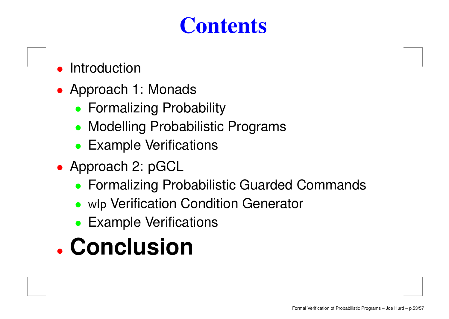### **Contents**

- •Introduction
- Approach 1: Monads
	- Formalizing Probability
	- Modelling Probabilistic Programs
	- Example Verifications
- Approach 2: pGCL
	- Formalizing Probabilistic Guarded Commands
	- wlp Verification Condition Generator
	- Example Verifications

# • **Conclusion**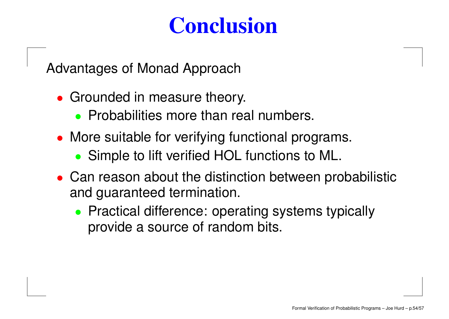### **Conclusion**

Advantages of Monad Approach

- Grounded in measure theory.
	- Probabilities more than real numbers.
- More suitable for verifying functional programs.
	- Simple to lift verified HOL functions to ML.
- Can reason about the distinction between probabilistic and guaranteed termination.
	- Practical difference: operating systems typically provide <sup>a</sup> source of random bits.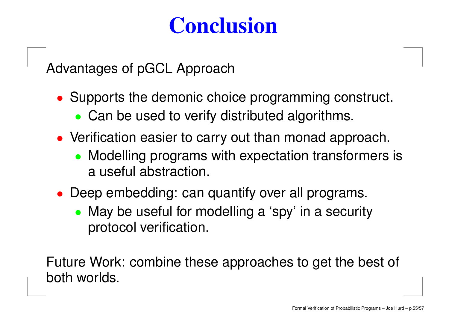### **Conclusion**

Advantages of pGCL Approach

- Supports the demonic choice programming construct.
	- Can be used to verify distributed algorithms.
- Verification easier to carry out than monad approach.
	- Modelling programs with expectation transformers is a useful abstraction.
- Deep embedding: can quantify over all programs.
	- May be useful for modelling a 'spy' in a security protocol verification.

Future Work: combine these approaches to get the best of both worlds.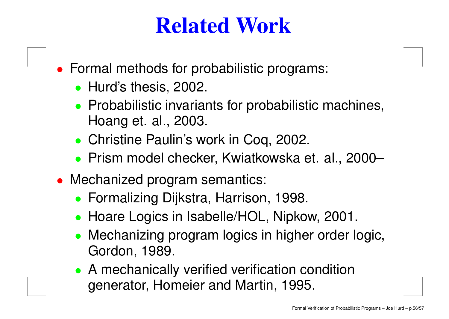### **Related Work**

- Formal methods for probabilistic programs:
	- Hurd's thesis, 2002.
	- Probabilistic invariants for probabilistic machines, Hoang et. al., 2003.
	- Christine Paulin's work in Coq, 2002.
	- Prism model checker, Kwiatkowska et. al., 2000–
- Mechanized program semantics:
	- Formalizing Dijkstra, Harrison, 1998.
	- Hoare Logics in Isabelle/HOL, Nipkow, 2001.
	- Mechanizing program logics in higher order logic, Gordon, 1989.
	- A mechanically verified verification condition generator, Homeier and Martin, 1995.